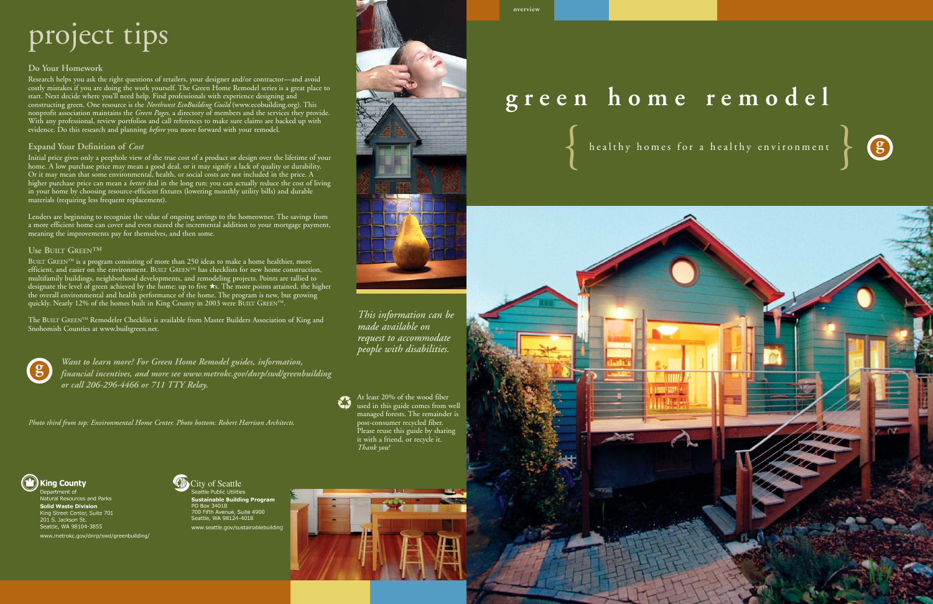# project tips

### **Do Your Homework**

Research helps you ask the right questions of retailers, your designer and/or contractor—and avoid costly mistakes if you are doing the work yourself. The Green Home Remodel series is a great place to start. Next decide where you'll need help. Find professionals with experience designing and constructing green. One resource is the *Northwest EcoBuilding Guild* (www.ecobuilding.org). This nonprofit association maintains the *Green Pages*, a directory of members and the services they provide. With any professional, review portfolios and call references to make sure claims are backed up with evidence. Do this research and planning *before* you move forward with your remodel.

### **Expand Your Definition of**  *Cost*

Initial price gives only a peephole view of the true cost of a product or design over the lifetime of your home. A low purchase price may mean a good deal, or it may signify a lack of quality or durability. Or it may mean that some environmental, health, or social costs are not included in the price. A higher purchase price can mean a *better* deal in the long run: you can actually reduce the cost of living in your home by choosing resource-efficient fixtures (lowering monthly utility bills) and durable materials (requiring less frequent replacement).

The BUILT GREEN™ Remodeler Checklist is available from Master Builders Association of King and Snohomish Counties at www.builtgreen.net.

Lenders are beginning to recognize the value of ongoing savings to the homeowner. The savings from a more efficient home can cover and even exceed the incremental addition to your mortgage payment, meaning the improvements pay for themselves, and then some.

### **Use BUILT GREEN ™**

BUILT GREEN™ is a program consisting of more than 250 ideas to make a home healthier, more efficient, and easier on the environment. BUILT  $\rm{GREEN^{TM}}$  has checklists for new home construction, multifamily buildings, neighborhood developments, and remodeling projects. Points are tallied to designate the level of green achieved by the home: up to five ★s. The more points attained, the higher the overall environmental and health performance of the home. The program is new, but growing quickly. Nearly 12% of the homes built in King County in 2003 were BUILT GREEN™.

> *Want to learn more? For Green Home Remodel guides, information, financial incentives, and more see www.metrokc.gov/dnrp/swd/greenbuilding or call 206-296-4466 or 711 TTY Relay.*



# **overview**





*This information can be made available on request to accommodate people with disabilities.*

At least 20% of the wood fiber used in this guide comes from well managed forests. The remainder is post-consumer recycled fiber. Please reuse this guide by sharing it with a friend, or recycle it. *Thank you!*



Department of Natural Resources and Parks **Solid Waste Division** King Street Center, Suite 701 201 S. Jackson St.<br>Seattle, WA 98104-3855 www.metrokc.gov/dnrp/swd/greenbuilding/





*Photo third from top: Environmental Home Center. Photo bottom: Robert Harrison Architects.*